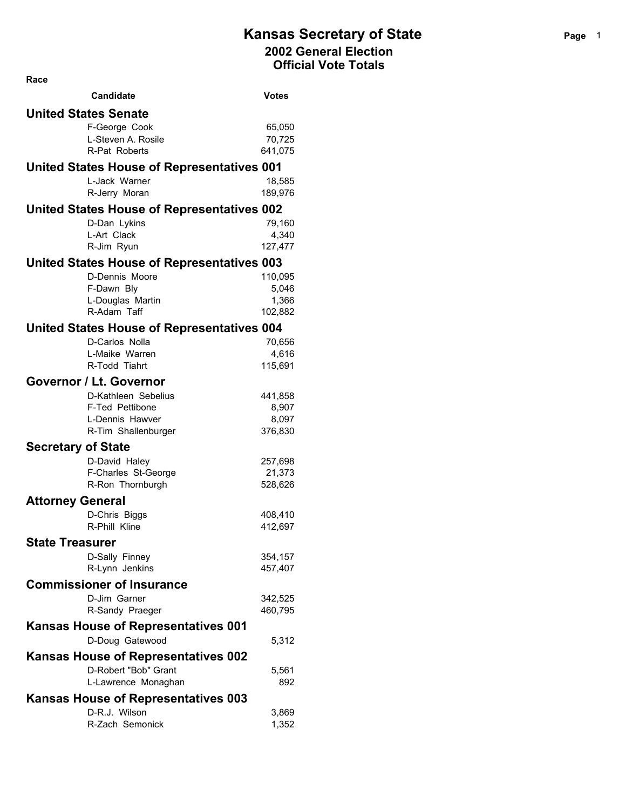| Race                      |                                                   |                  |
|---------------------------|---------------------------------------------------|------------------|
|                           | <b>Candidate</b>                                  | Votes            |
|                           | <b>United States Senate</b>                       |                  |
|                           | F-George Cook                                     | 65,050           |
|                           | L-Steven A. Rosile                                | 70,725           |
|                           | R-Pat Roberts                                     | 641,075          |
|                           | United States House of Representatives 001        |                  |
|                           | L-Jack Warner                                     | 18,585           |
|                           | R-Jerry Moran                                     | 189,976          |
|                           | <b>United States House of Representatives 002</b> |                  |
|                           | D-Dan Lykins<br>L-Art Clack                       | 79,160<br>4,340  |
|                           | R-Jim Ryun                                        | 127,477          |
|                           | <b>United States House of Representatives 003</b> |                  |
|                           | D-Dennis Moore                                    | 110,095          |
|                           | F-Dawn Bly                                        | 5,046            |
|                           | L-Douglas Martin                                  | 1,366            |
|                           | R-Adam Taff                                       | 102,882          |
|                           | <b>United States House of Representatives 004</b> |                  |
|                           | D-Carlos Nolla                                    | 70,656           |
|                           | L-Maike Warren                                    | 4,616            |
|                           | R-Todd Tiahrt                                     | 115,691          |
|                           | <b>Governor / Lt. Governor</b>                    |                  |
|                           | D-Kathleen Sebelius                               | 441,858          |
|                           | F-Ted Pettibone<br>L-Dennis Hawver                | 8,907            |
|                           | R-Tim Shallenburger                               | 8,097<br>376,830 |
| <b>Secretary of State</b> |                                                   |                  |
|                           | D-David Haley                                     | 257,698          |
|                           | F-Charles St-George                               | 21,373           |
|                           | R-Ron Thornburgh                                  | 528,626          |
| <b>Attorney General</b>   |                                                   |                  |
|                           | D-Chris Biggs                                     | 408,410          |
|                           | R-Phill Kline                                     | 412,697          |
| <b>State Treasurer</b>    |                                                   |                  |
|                           | D-Sally Finney                                    | 354,157          |
|                           | R-Lynn Jenkins                                    | 457,407          |
|                           | <b>Commissioner of Insurance</b>                  |                  |
|                           | D-Jim Garner                                      | 342,525          |
|                           | R-Sandy Praeger                                   | 460,795          |
|                           | Kansas House of Representatives 001               |                  |
|                           | D-Doug Gatewood                                   | 5,312            |
|                           | <b>Kansas House of Representatives 002</b>        |                  |
|                           | D-Robert "Bob" Grant                              | 5,561            |
|                           | L-Lawrence Monaghan                               | 892              |
|                           | <b>Kansas House of Representatives 003</b>        |                  |
|                           | D-R.J. Wilson                                     | 3,869            |
|                           | R-Zach Semonick                                   | 1,352            |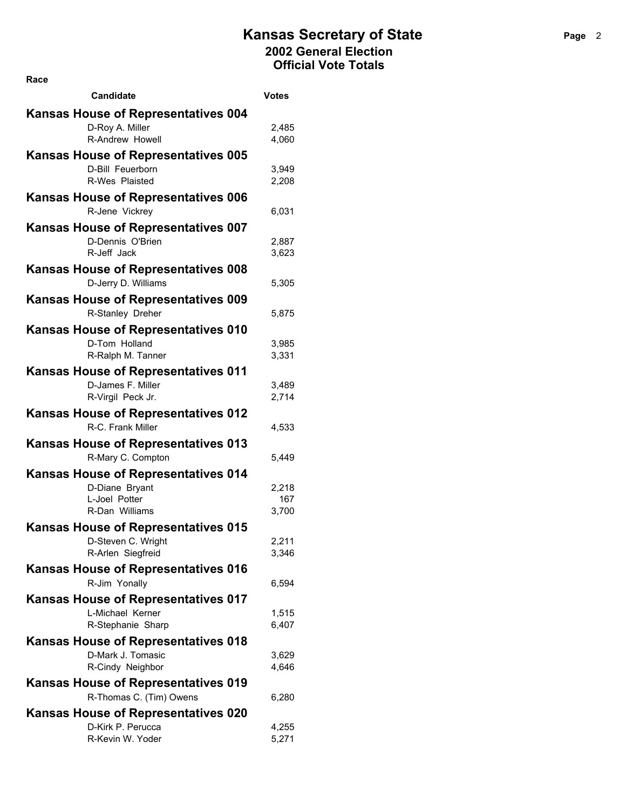| <b>Candidate</b>                           | <b>Votes</b> |
|--------------------------------------------|--------------|
| <b>Kansas House of Representatives 004</b> |              |
| D-Roy A. Miller                            | 2,485        |
| R-Andrew Howell                            | 4,060        |
| <b>Kansas House of Representatives 005</b> |              |
| D-Bill Feuerborn                           | 3,949        |
| R-Wes Plaisted                             | 2,208        |
| <b>Kansas House of Representatives 006</b> |              |
| R-Jene Vickrey                             | 6,031        |
| Kansas House of Representatives 007        |              |
| D-Dennis O'Brien                           | 2,887        |
| R-Jeff Jack                                | 3,623        |
| Kansas House of Representatives 008        |              |
| D-Jerry D. Williams                        | 5,305        |
| <b>Kansas House of Representatives 009</b> |              |
| R-Stanley Dreher                           | 5,875        |
| <b>Kansas House of Representatives 010</b> |              |
| D-Tom Holland                              | 3,985        |
| R-Ralph M. Tanner                          | 3,331        |
| <b>Kansas House of Representatives 011</b> |              |
| D-James F. Miller                          | 3,489        |
| R-Virgil Peck Jr.                          | 2,714        |
| Kansas House of Representatives 012        |              |
| R-C. Frank Miller                          | 4,533        |
| <b>Kansas House of Representatives 013</b> |              |
| R-Mary C. Compton                          | 5,449        |
| <b>Kansas House of Representatives 014</b> |              |
| D-Diane Bryant                             | 2,218        |
| L-Joel Potter                              | 167          |
| R-Dan Williams                             | 3,700        |
| <b>Kansas House of Representatives 015</b> |              |
| D-Steven C. Wright                         | 2,211        |
| R-Arlen Siegfreid                          | 3,346        |
| <b>Kansas House of Representatives 016</b> |              |
| R-Jim Yonally                              | 6,594        |
| <b>Kansas House of Representatives 017</b> |              |
| L-Michael Kerner                           | 1,515        |
| R-Stephanie Sharp                          | 6,407        |
| <b>Kansas House of Representatives 018</b> |              |
| D-Mark J. Tomasic                          | 3,629        |
| R-Cindy Neighbor                           | 4,646        |
| <b>Kansas House of Representatives 019</b> |              |
| R-Thomas C. (Tim) Owens                    | 6,280        |
| Kansas House of Representatives 020        |              |
| D-Kirk P. Perucca                          | 4,255        |
| R-Kevin W. Yoder                           | 5,271        |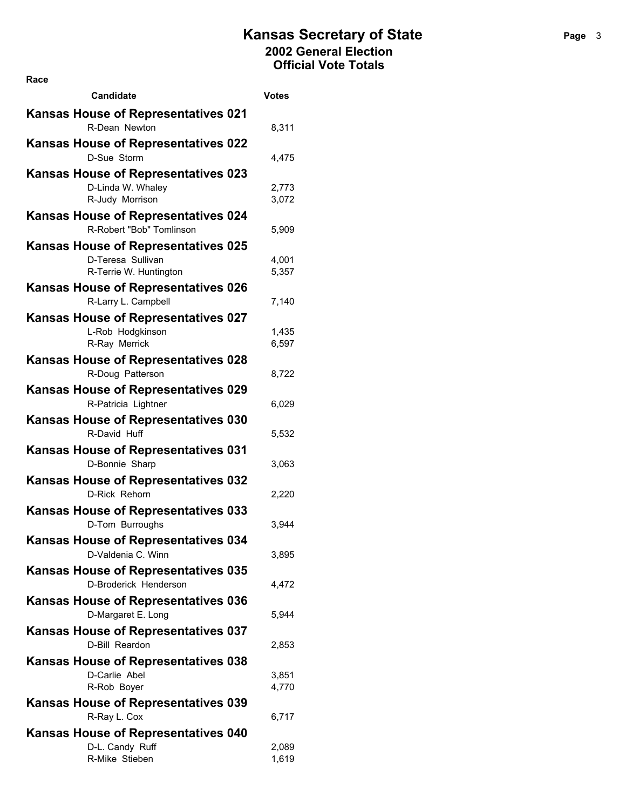| Race                                                         |                |
|--------------------------------------------------------------|----------------|
| <b>Candidate</b>                                             | Votes          |
| <b>Kansas House of Representatives 021</b>                   |                |
| R-Dean Newton                                                | 8,311          |
| <b>Kansas House of Representatives 022</b>                   |                |
| D-Sue Storm                                                  | 4,475          |
| <b>Kansas House of Representatives 023</b>                   |                |
| D-Linda W. Whaley                                            | 2,773          |
| R-Judy Morrison                                              | 3,072          |
| Kansas House of Representatives 024                          |                |
| R-Robert "Bob" Tomlinson                                     | 5,909          |
| <b>Kansas House of Representatives 025</b>                   |                |
| D-Teresa Sullivan<br>R-Terrie W. Huntington                  | 4,001<br>5,357 |
| <b>Kansas House of Representatives 026</b>                   |                |
| R-Larry L. Campbell                                          | 7,140          |
| Kansas House of Representatives 027                          |                |
| L-Rob Hodgkinson                                             | 1,435          |
| R-Ray Merrick                                                | 6,597          |
| <b>Kansas House of Representatives 028</b>                   |                |
| R-Doug Patterson                                             | 8,722          |
| <b>Kansas House of Representatives 029</b>                   |                |
| R-Patricia Lightner                                          | 6,029          |
| <b>Kansas House of Representatives 030</b>                   |                |
| R-David Huff                                                 | 5,532          |
| <b>Kansas House of Representatives 031</b>                   |                |
| D-Bonnie Sharp                                               | 3,063          |
| Kansas House of Representatives 032                          |                |
| D-Rick Rehorn                                                | 2,220          |
| Kansas House of Representatives 033                          |                |
| D-Tom Burroughs                                              | 3,944          |
| <b>Kansas House of Representatives 034</b>                   |                |
| D-Valdenia C. Winn                                           | 3,895          |
| <b>Kansas House of Representatives 035</b>                   |                |
| D-Broderick Henderson                                        | 4,472          |
| <b>Kansas House of Representatives 036</b>                   | 5.944          |
| D-Margaret E. Long                                           |                |
| <b>Kansas House of Representatives 037</b><br>D-Bill Reardon | 2,853          |
| <b>Kansas House of Representatives 038</b>                   |                |
| D-Carlie Abel                                                | 3,851          |
| R-Rob Boyer                                                  | 4,770          |
| Kansas House of Representatives 039                          |                |
| R-Ray L. Cox                                                 | 6,717          |
| <b>Kansas House of Representatives 040</b>                   |                |
| D-L. Candy Ruff                                              | 2,089          |
| R-Mike Stieben                                               | 1,619          |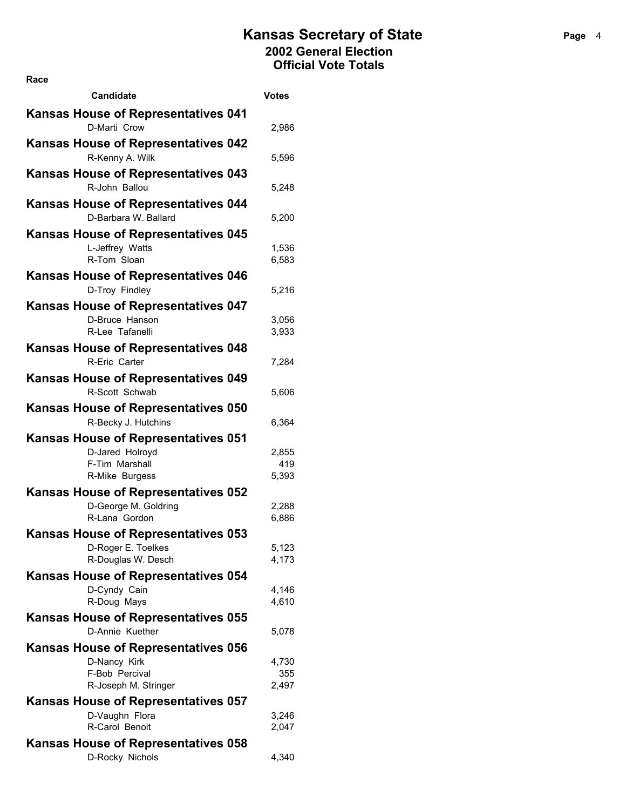| Race                                                         |                |
|--------------------------------------------------------------|----------------|
| Candidate                                                    | <b>Votes</b>   |
| <b>Kansas House of Representatives 041</b>                   |                |
| D-Marti Crow                                                 | 2,986          |
| <b>Kansas House of Representatives 042</b>                   |                |
| R-Kenny A. Wilk                                              | 5,596          |
| <b>Kansas House of Representatives 043</b>                   |                |
| R-John Ballou                                                | 5,248          |
| <b>Kansas House of Representatives 044</b>                   |                |
| D-Barbara W. Ballard                                         | 5,200          |
| <b>Kansas House of Representatives 045</b>                   |                |
| L-Jeffrey Watts                                              | 1,536          |
| R-Tom Sloan                                                  | 6,583          |
| <b>Kansas House of Representatives 046</b>                   |                |
| D-Troy Findley                                               | 5,216          |
| <b>Kansas House of Representatives 047</b>                   |                |
| D-Bruce Hanson<br>R-Lee Tafanelli                            | 3,056          |
|                                                              | 3,933          |
| <b>Kansas House of Representatives 048</b><br>R-Eric Carter  | 7,284          |
|                                                              |                |
| <b>Kansas House of Representatives 049</b><br>R-Scott Schwab | 5,606          |
| Kansas House of Representatives 050                          |                |
| R-Becky J. Hutchins                                          | 6,364          |
| <b>Kansas House of Representatives 051</b>                   |                |
| D-Jared Holroyd                                              | 2,855          |
| F-Tim Marshall                                               | 419            |
| R-Mike Burgess                                               | 5,393          |
| <b>Kansas House of Representatives 052</b>                   |                |
| D-George M. Goldring                                         | 2,288          |
| R-Lana Gordon                                                | 6,886          |
| Kansas House of Representatives 053<br>D-Roger E. Toelkes    |                |
| R-Douglas W. Desch                                           | 5,123<br>4,173 |
| <b>Kansas House of Representatives 054</b>                   |                |
| D-Cyndy Cain                                                 | 4,146          |
| R-Doug Mays                                                  | 4,610          |
| <b>Kansas House of Representatives 055</b>                   |                |
| D-Annie Kuether                                              | 5,078          |
| <b>Kansas House of Representatives 056</b>                   |                |
| D-Nancy Kirk                                                 | 4,730          |
| F-Bob Percival<br>R-Joseph M. Stringer                       | 355<br>2,497   |
| <b>Kansas House of Representatives 057</b>                   |                |
| D-Vaughn Flora                                               | 3,246          |
| R-Carol Benoit                                               | 2,047          |
| Kansas House of Representatives 058                          |                |
| D-Rocky Nichols                                              | 4,340          |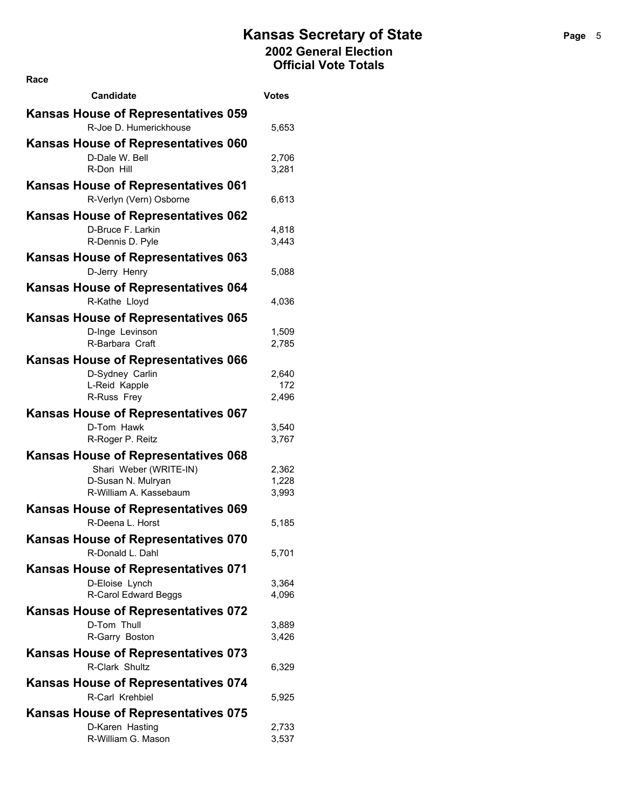**Candidate Votes Kansas House of Representatives 059** R-Joe D. Humerickhouse 5,653 **Kansas House of Representatives 060** D-Dale W. Bell 2,706 R-Don Hill 3,281 **Kansas House of Representatives 061** R-Verlyn (Vern) Osborne 6,613 **Kansas House of Representatives 062** D-Bruce F. Larkin 4,818 R-Dennis D. Pyle 3,443 **Kansas House of Representatives 063** D-Jerry Henry 3,088 **Kansas House of Representatives 064** R-Kathe Lloyd 4,036 **Kansas House of Representatives 065** D-Inge Levinson 1,509 R-Barbara Craft 2,785 **Kansas House of Representatives 066** D-Sydney Carlin 2,640 L-Reid Kapple 172 R-Russ Frey 2,496 **Kansas House of Representatives 067** D-Tom Hawk 3,540 R-Roger P. Reitz 3,767 **Kansas House of Representatives 068** Shari Weber (WRITE-IN) 2.362 D-Susan N. Mulryan 1,228 R-William A. Kassebaum 3,993 **Kansas House of Representatives 069** R-Deena L. Horst 5,185 **Kansas House of Representatives 070** R-Donald L. Dahl 5,701 **Kansas House of Representatives 071** D-Eloise Lynch 3,364 R-Carol Edward Beggs 4,096 **Kansas House of Representatives 072** D-Tom Thull 3,889 R-Garry Boston 3,426 **Kansas House of Representatives 073** R-Clark Shultz 6,329 **Kansas House of Representatives 074** R-Carl Krehbiel 5,925 **Kansas House of Representatives 075** D-Karen Hasting 2,733 R-William G. Mason 3,537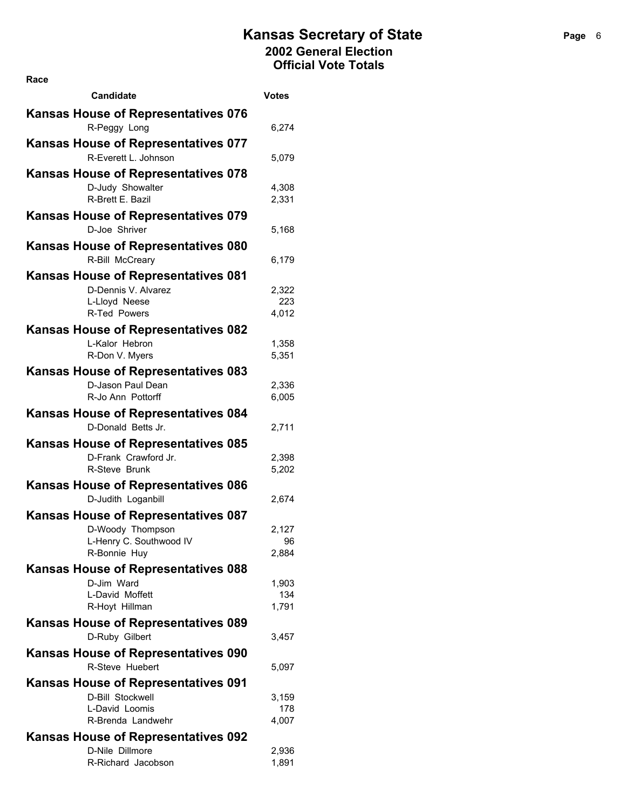| Race                                                               |                |
|--------------------------------------------------------------------|----------------|
| <b>Candidate</b>                                                   | <b>Votes</b>   |
| <b>Kansas House of Representatives 076</b><br>R-Peggy Long         | 6,274          |
|                                                                    |                |
| <b>Kansas House of Representatives 077</b><br>R-Everett L. Johnson | 5,079          |
| <b>Kansas House of Representatives 078</b>                         |                |
| D-Judy Showalter                                                   | 4,308          |
| R-Brett E. Bazil                                                   | 2,331          |
| <b>Kansas House of Representatives 079</b><br>D-Joe Shriver        | 5,168          |
| Kansas House of Representatives 080                                |                |
| R-Bill McCreary                                                    | 6,179          |
| <b>Kansas House of Representatives 081</b>                         |                |
| D-Dennis V. Alvarez                                                | 2,322          |
| L-Lloyd Neese                                                      | 223            |
| R-Ted Powers                                                       | 4,012          |
| <b>Kansas House of Representatives 082</b>                         |                |
| L-Kalor Hebron                                                     | 1,358          |
| R-Don V. Myers                                                     | 5,351          |
| Kansas House of Representatives 083                                |                |
| D-Jason Paul Dean<br>R-Jo Ann Pottorff                             | 2,336<br>6,005 |
| Kansas House of Representatives 084                                |                |
| D-Donald Betts Jr.                                                 | 2,711          |
| <b>Kansas House of Representatives 085</b>                         |                |
| D-Frank Crawford Jr.                                               | 2,398          |
| R-Steve Brunk                                                      | 5,202          |
| <b>Kansas House of Representatives 086</b>                         |                |
| D-Judith Loganbill                                                 | 2,674          |
| <b>Kansas House of Representatives 087</b>                         |                |
| D-Woody Thompson                                                   | 2,127          |
| L-Henry C. Southwood IV                                            | 96             |
| R-Bonnie Huy                                                       | 2,884          |
| Kansas House of Representatives 088                                |                |
| D-Jim Ward<br>L-David Moffett                                      | 1,903<br>134   |
| R-Hoyt Hillman                                                     | 1,791          |
| <b>Kansas House of Representatives 089</b>                         |                |
| D-Ruby Gilbert                                                     | 3,457          |
|                                                                    |                |
| <b>Kansas House of Representatives 090</b><br>R-Steve Huebert      |                |
|                                                                    | 5,097          |
| <b>Kansas House of Representatives 091</b>                         |                |
| D-Bill Stockwell<br>L-David Loomis                                 | 3,159<br>178   |
| R-Brenda Landwehr                                                  | 4,007          |
| <b>Kansas House of Representatives 092</b>                         |                |
| D-Nile Dillmore                                                    | 2,936          |
| R-Richard Jacobson                                                 | 1,891          |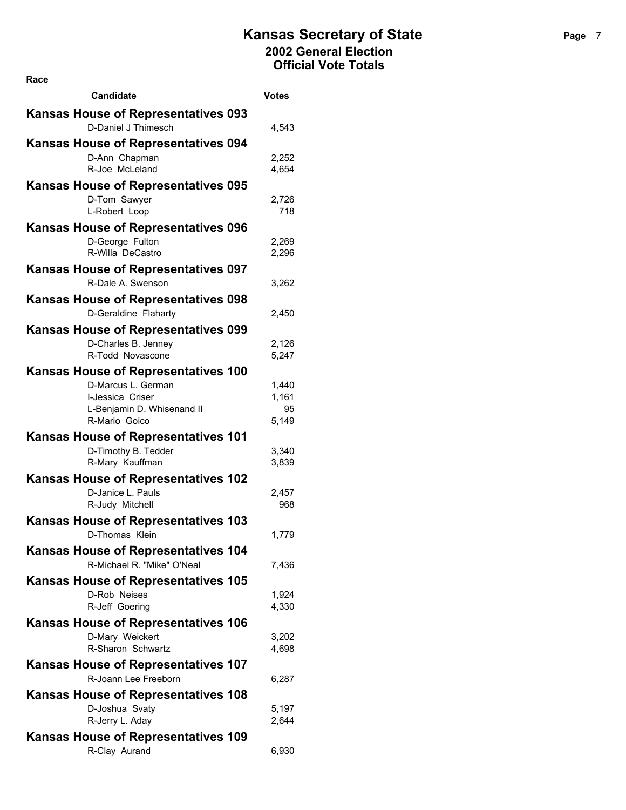| Race                                                               |                |
|--------------------------------------------------------------------|----------------|
| <b>Candidate</b>                                                   | <b>Votes</b>   |
| <b>Kansas House of Representatives 093</b>                         |                |
| D-Daniel J Thimesch                                                | 4,543          |
| <b>Kansas House of Representatives 094</b>                         |                |
| D-Ann Chapman                                                      | 2,252          |
| R-Joe McLeland                                                     | 4,654          |
| <b>Kansas House of Representatives 095</b>                         |                |
| D-Tom Sawyer                                                       | 2,726          |
| L-Robert Loop                                                      | 718            |
| <b>Kansas House of Representatives 096</b>                         |                |
| D-George Fulton<br>R-Willa DeCastro                                | 2,269<br>2,296 |
|                                                                    |                |
| <b>Kansas House of Representatives 097</b><br>R-Dale A. Swenson    |                |
|                                                                    | 3,262          |
| <b>Kansas House of Representatives 098</b><br>D-Geraldine Flaharty | 2,450          |
|                                                                    |                |
| <b>Kansas House of Representatives 099</b><br>D-Charles B. Jenney  |                |
| R-Todd Novascone                                                   | 2,126<br>5,247 |
| <b>Kansas House of Representatives 100</b>                         |                |
| D-Marcus L. German                                                 | 1,440          |
| I-Jessica Criser                                                   | 1,161          |
| L-Benjamin D. Whisenand II                                         | 95             |
| R-Mario Goico                                                      | 5,149          |
| <b>Kansas House of Representatives 101</b>                         |                |
| D-Timothy B. Tedder<br>R-Mary Kauffman                             | 3,340<br>3,839 |
| Kansas House of Representatives 102                                |                |
| D-Janice L. Pauls                                                  | 2,457          |
| R-Judy Mitchell                                                    | 968            |
| <b>Kansas House of Representatives 103</b>                         |                |
| D-Thomas Klein                                                     | 1,779          |
| <b>Kansas House of Representatives 104</b>                         |                |
| R-Michael R. "Mike" O'Neal                                         | 7,436          |
| <b>Kansas House of Representatives 105</b>                         |                |
| D-Rob Neises                                                       | 1,924          |
| R-Jeff Goering                                                     | 4,330          |
| <b>Kansas House of Representatives 106</b>                         |                |
| D-Mary Weickert<br>R-Sharon Schwartz                               | 3,202<br>4,698 |
|                                                                    |                |
| <b>Kansas House of Representatives 107</b><br>R-Joann Lee Freeborn | 6,287          |
|                                                                    |                |
| <b>Kansas House of Representatives 108</b><br>D-Joshua Svaty       | 5,197          |
| R-Jerry L. Aday                                                    | 2,644          |
| Kansas House of Representatives 109                                |                |
| R-Clay Aurand                                                      | 6,930          |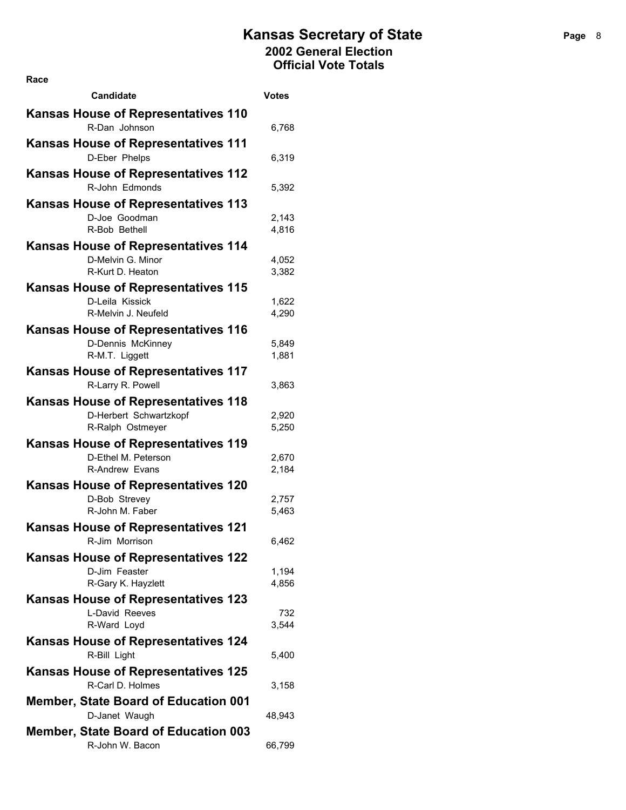| Race                                                            |                |
|-----------------------------------------------------------------|----------------|
| Candidate                                                       | Votes          |
| <b>Kansas House of Representatives 110</b>                      |                |
| R-Dan Johnson                                                   | 6,768          |
| <b>Kansas House of Representatives 111</b><br>D-Eber Phelps     | 6,319          |
| <b>Kansas House of Representatives 112</b>                      |                |
| R-John Edmonds                                                  | 5,392          |
| <b>Kansas House of Representatives 113</b>                      |                |
| D-Joe Goodman                                                   | 2,143          |
| R-Bob Bethell                                                   | 4,816          |
| <b>Kansas House of Representatives 114</b><br>D-Melvin G. Minor |                |
| R-Kurt D. Heaton                                                | 4,052<br>3,382 |
| <b>Kansas House of Representatives 115</b>                      |                |
| D-Leila Kissick                                                 | 1,622          |
| R-Melvin J. Neufeld                                             | 4,290          |
| <b>Kansas House of Representatives 116</b>                      |                |
| D-Dennis McKinney<br>R-M.T. Liggett                             | 5,849<br>1,881 |
| <b>Kansas House of Representatives 117</b>                      |                |
| R-Larry R. Powell                                               | 3,863          |
| <b>Kansas House of Representatives 118</b>                      |                |
| D-Herbert Schwartzkopf                                          | 2,920          |
| R-Ralph Ostmeyer                                                | 5,250          |
| <b>Kansas House of Representatives 119</b>                      |                |
| D-Ethel M. Peterson<br><b>R-Andrew Evans</b>                    | 2,670<br>2,184 |
| <b>Kansas House of Representatives 120</b>                      |                |
| D-Bob Strevey                                                   | 2,757          |
| R-John M. Faber                                                 | 5,463          |
| <b>Kansas House of Representatives 121</b>                      |                |
| R-Jim Morrison                                                  | 6,462          |
| <b>Kansas House of Representatives 122</b><br>D-Jim Feaster     | 1,194          |
| R-Gary K. Hayzlett                                              | 4,856          |
| Kansas House of Representatives 123                             |                |
| L-David Reeves                                                  | 732            |
| R-Ward Loyd                                                     | 3,544          |
| <b>Kansas House of Representatives 124</b><br>R-Bill Light      |                |
|                                                                 | 5,400          |
| <b>Kansas House of Representatives 125</b><br>R-Carl D. Holmes  | 3,158          |
| <b>Member, State Board of Education 001</b>                     |                |
| D-Janet Waugh                                                   | 48,943         |
| <b>Member, State Board of Education 003</b>                     |                |
| R-John W. Bacon                                                 | 66,799         |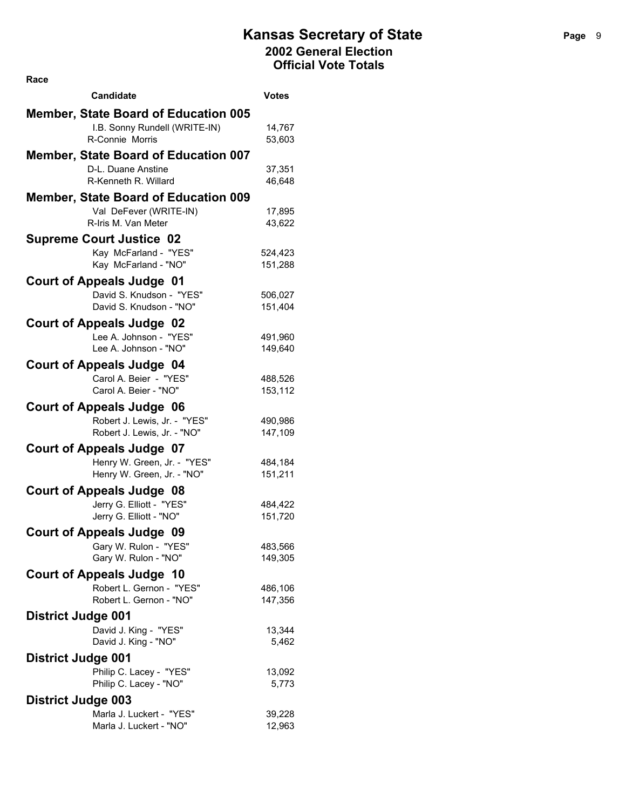| <b>Candidate</b>                                     | Votes              |
|------------------------------------------------------|--------------------|
| <b>Member, State Board of Education 005</b>          |                    |
| I.B. Sonny Rundell (WRITE-IN)                        | 14,767             |
| R-Connie Morris                                      | 53,603             |
| <b>Member, State Board of Education 007</b>          |                    |
| D-L. Duane Anstine                                   | 37,351             |
| R-Kenneth R. Willard                                 | 46,648             |
| <b>Member, State Board of Education 009</b>          |                    |
| Val DeFever (WRITE-IN)                               | 17,895             |
| R-Iris M. Van Meter                                  | 43,622             |
| <b>Supreme Court Justice 02</b>                      |                    |
| Kay McFarland - "YES"                                | 524,423            |
| Kay McFarland - "NO"                                 | 151,288            |
| <b>Court of Appeals Judge 01</b>                     |                    |
| David S. Knudson - "YES"                             | 506,027            |
| David S. Knudson - "NO"                              | 151,404            |
| <b>Court of Appeals Judge 02</b>                     |                    |
| Lee A. Johnson - "YES"                               | 491,960            |
| Lee A. Johnson - "NO"                                | 149,640            |
| <b>Court of Appeals Judge 04</b>                     |                    |
| Carol A. Beier - "YES"                               | 488,526            |
| Carol A. Beier - "NO"                                | 153,112            |
| <b>Court of Appeals Judge 06</b>                     |                    |
| Robert J. Lewis, Jr. - "YES"                         | 490,986            |
| Robert J. Lewis, Jr. - "NO"                          | 147,109            |
| <b>Court of Appeals Judge 07</b>                     |                    |
| Henry W. Green, Jr. - "YES"                          | 484,184            |
| Henry W. Green, Jr. - "NO"                           | 151,211            |
| <b>Court of Appeals Judge 08</b>                     |                    |
| Jerry G. Elliott - "YES"                             | 484,422            |
| Jerry G. Elliott - "NO"                              | 151,720            |
| <b>Court of Appeals Judge 09</b>                     |                    |
| Gary W. Rulon - "YES"<br>Gary W. Rulon - "NO"        | 483,566<br>149,305 |
|                                                      |                    |
| <b>Court of Appeals Judge 10</b>                     |                    |
| Robert L. Gernon - "YES"<br>Robert L. Gernon - "NO"  | 486,106<br>147,356 |
|                                                      |                    |
| <b>District Judge 001</b><br>David J. King - "YES"   |                    |
| David J. King - "NO"                                 | 13,344<br>5,462    |
|                                                      |                    |
| <b>District Judge 001</b><br>Philip C. Lacey - "YES" | 13,092             |
| Philip C. Lacey - "NO"                               | 5,773              |
| <b>District Judge 003</b>                            |                    |
| Marla J. Luckert - "YES"                             | 39,228             |
| Marla J. Luckert - "NO"                              | 12,963             |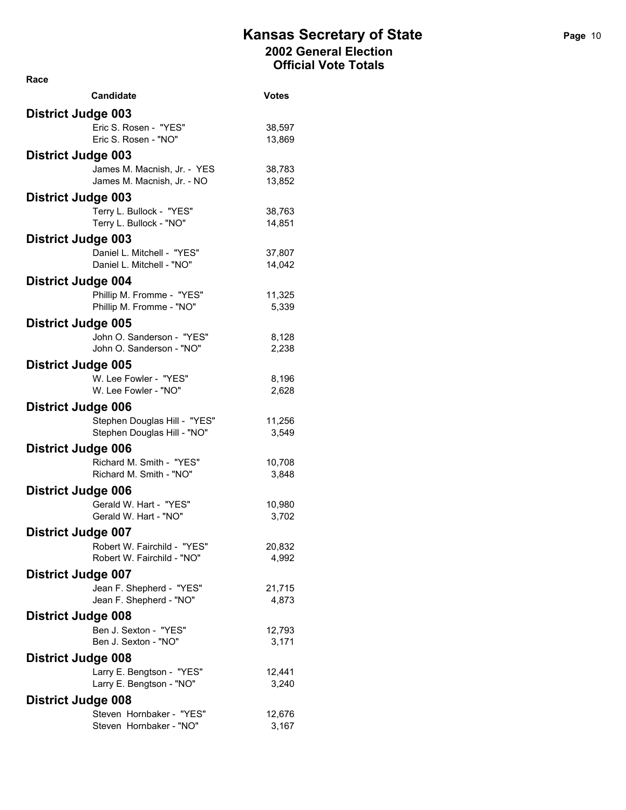| <b>Candidate</b>                                         | <b>Votes</b>     |
|----------------------------------------------------------|------------------|
| <b>District Judge 003</b>                                |                  |
| Eric S. Rosen - "YES"                                    | 38,597           |
| Eric S. Rosen - "NO"                                     | 13,869           |
| <b>District Judge 003</b>                                |                  |
| James M. Macnish, Jr. - YES                              | 38,783           |
| James M. Macnish, Jr. - NO                               | 13,852           |
| <b>District Judge 003</b>                                |                  |
| Terry L. Bullock - "YES"                                 | 38,763           |
| Terry L. Bullock - "NO"                                  | 14,851           |
| <b>District Judge 003</b>                                |                  |
| Daniel L. Mitchell - "YES"<br>Daniel L. Mitchell - "NO"  | 37,807<br>14,042 |
|                                                          |                  |
| <b>District Judge 004</b><br>Phillip M. Fromme - "YES"   | 11,325           |
| Phillip M. Fromme - "NO"                                 | 5,339            |
| <b>District Judge 005</b>                                |                  |
| John O. Sanderson - "YES"                                | 8,128            |
| John O. Sanderson - "NO"                                 | 2,238            |
| <b>District Judge 005</b>                                |                  |
| W. Lee Fowler - "YES"                                    | 8,196            |
| W. Lee Fowler - "NO"                                     | 2,628            |
| <b>District Judge 006</b>                                |                  |
| Stephen Douglas Hill - "YES"                             | 11,256           |
| Stephen Douglas Hill - "NO"                              | 3,549            |
| <b>District Judge 006</b>                                |                  |
| Richard M. Smith - "YES"                                 | 10,708           |
| Richard M. Smith - "NO"                                  | 3,848            |
| <b>District Judge 006</b>                                |                  |
| Gerald W. Hart - "YES"<br>Gerald W. Hart - "NO"          | 10,980<br>3,702  |
|                                                          |                  |
| <b>District Judge 007</b><br>Robert W. Fairchild - "YES" | 20,832           |
| Robert W. Fairchild - "NO"                               | 4,992            |
| <b>District Judge 007</b>                                |                  |
| Jean F. Shepherd - "YES"                                 | 21,715           |
| Jean F. Shepherd - "NO"                                  | 4,873            |
| <b>District Judge 008</b>                                |                  |
| Ben J. Sexton - "YES"                                    | 12,793           |
| Ben J. Sexton - "NO"                                     | 3,171            |
| <b>District Judge 008</b>                                |                  |
| Larry E. Bengtson - "YES"                                | 12,441           |
| Larry E. Bengtson - "NO"                                 | 3,240            |
| <b>District Judge 008</b>                                |                  |
| Steven Hornbaker - "YES"                                 | 12,676           |
| Steven Hornbaker - "NO"                                  | 3,167            |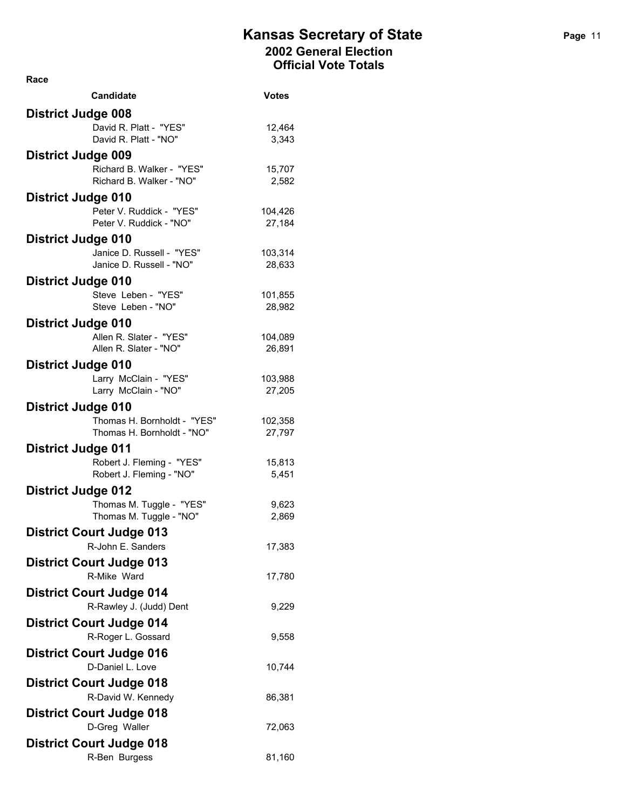| Candidate                                             | <b>Votes</b>      |
|-------------------------------------------------------|-------------------|
| <b>District Judge 008</b>                             |                   |
| David R. Platt - "YES"                                | 12,464            |
| David R. Platt - "NO"                                 | 3,343             |
| <b>District Judge 009</b>                             |                   |
| Richard B. Walker - "YES"<br>Richard B. Walker - "NO" | 15,707            |
|                                                       | 2,582             |
| <b>District Judge 010</b><br>Peter V. Ruddick - "YES" |                   |
| Peter V. Ruddick - "NO"                               | 104,426<br>27,184 |
| <b>District Judge 010</b>                             |                   |
| Janice D. Russell - "YES"                             | 103,314           |
| Janice D. Russell - "NO"                              | 28,633            |
| <b>District Judge 010</b>                             |                   |
| Steve Leben - "YES"                                   | 101,855           |
| Steve Leben - "NO"                                    | 28,982            |
| <b>District Judge 010</b>                             |                   |
| Allen R. Slater - "YES"<br>Allen R. Slater - "NO"     | 104,089<br>26,891 |
|                                                       |                   |
| <b>District Judge 010</b><br>Larry McClain - "YES"    | 103,988           |
| Larry McClain - "NO"                                  | 27,205            |
| <b>District Judge 010</b>                             |                   |
| Thomas H. Bornholdt - "YES"                           | 102,358           |
| Thomas H. Bornholdt - "NO"                            | 27,797            |
| <b>District Judge 011</b>                             |                   |
| Robert J. Fleming - "YES"                             | 15,813            |
| Robert J. Fleming - "NO"                              | 5,451             |
| <b>District Judge 012</b>                             |                   |
| Thomas M. Tuggle - "YES"<br>Thomas M. Tuggle - "NO"   | 9,623<br>2,869    |
| <b>District Court Judge 013</b>                       |                   |
| R-John E. Sanders                                     | 17,383            |
| <b>District Court Judge 013</b>                       |                   |
| R-Mike Ward                                           | 17,780            |
| <b>District Court Judge 014</b>                       |                   |
| R-Rawley J. (Judd) Dent                               | 9,229             |
| <b>District Court Judge 014</b>                       |                   |
| R-Roger L. Gossard                                    | 9,558             |
| <b>District Court Judge 016</b>                       |                   |
| D-Daniel L. Love                                      | 10,744            |
| <b>District Court Judge 018</b>                       |                   |
| R-David W. Kennedy                                    | 86,381            |
| <b>District Court Judge 018</b>                       |                   |
| D-Greg Waller                                         | 72,063            |
| <b>District Court Judge 018</b>                       |                   |
| R-Ben Burgess                                         | 81,160            |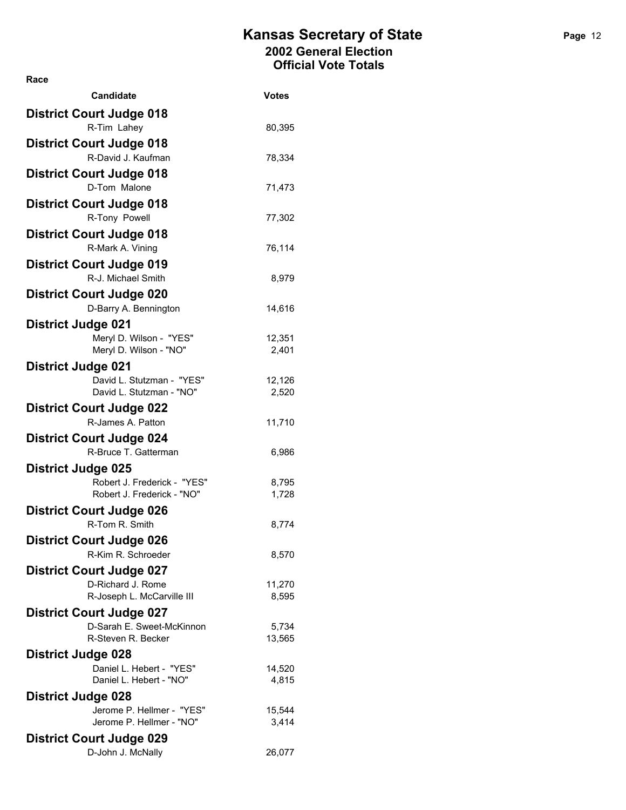| <b>Candidate</b>                                         | Votes           |
|----------------------------------------------------------|-----------------|
| <b>District Court Judge 018</b>                          |                 |
| R-Tim Lahey                                              | 80,395          |
| <b>District Court Judge 018</b>                          |                 |
| R-David J. Kaufman                                       | 78,334          |
| <b>District Court Judge 018</b>                          |                 |
| D-Tom Malone                                             | 71,473          |
| <b>District Court Judge 018</b>                          |                 |
| R-Tony Powell                                            | 77,302          |
| <b>District Court Judge 018</b>                          |                 |
| R-Mark A. Vining                                         | 76,114          |
| <b>District Court Judge 019</b>                          |                 |
| R-J. Michael Smith                                       | 8,979           |
| <b>District Court Judge 020</b>                          |                 |
| D-Barry A. Bennington                                    | 14,616          |
| <b>District Judge 021</b>                                |                 |
| Meryl D. Wilson - "YES"                                  | 12,351          |
| Meryl D. Wilson - "NO"                                   | 2,401           |
| <b>District Judge 021</b>                                |                 |
| David L. Stutzman - "YES"                                | 12,126          |
| David L. Stutzman - "NO"                                 | 2,520           |
| <b>District Court Judge 022</b><br>R-James A. Patton     |                 |
|                                                          | 11,710          |
| <b>District Court Judge 024</b><br>R-Bruce T. Gatterman  |                 |
|                                                          | 6,986           |
| <b>District Judge 025</b><br>Robert J. Frederick - "YES" | 8,795           |
| Robert J. Frederick - "NO"                               | 1,728           |
| <b>District Court Judge 026</b>                          |                 |
| R-Tom R. Smith                                           | 8,774           |
| <b>District Court Judge 026</b>                          |                 |
| R-Kim R. Schroeder                                       | 8,570           |
| <b>District Court Judge 027</b>                          |                 |
| D-Richard J. Rome                                        | 11,270          |
| R-Joseph L. McCarville III                               | 8,595           |
| <b>District Court Judge 027</b>                          |                 |
| D-Sarah E. Sweet-McKinnon                                | 5,734           |
| R-Steven R. Becker                                       | 13,565          |
| <b>District Judge 028</b>                                |                 |
| Daniel L. Hebert - "YES"<br>Daniel L. Hebert - "NO"      | 14,520          |
|                                                          | 4,815           |
| <b>District Judge 028</b><br>Jerome P. Hellmer - "YES"   |                 |
| Jerome P. Hellmer - "NO"                                 | 15,544<br>3,414 |
| <b>District Court Judge 029</b>                          |                 |
| D-John J. McNally                                        | 26,077          |
|                                                          |                 |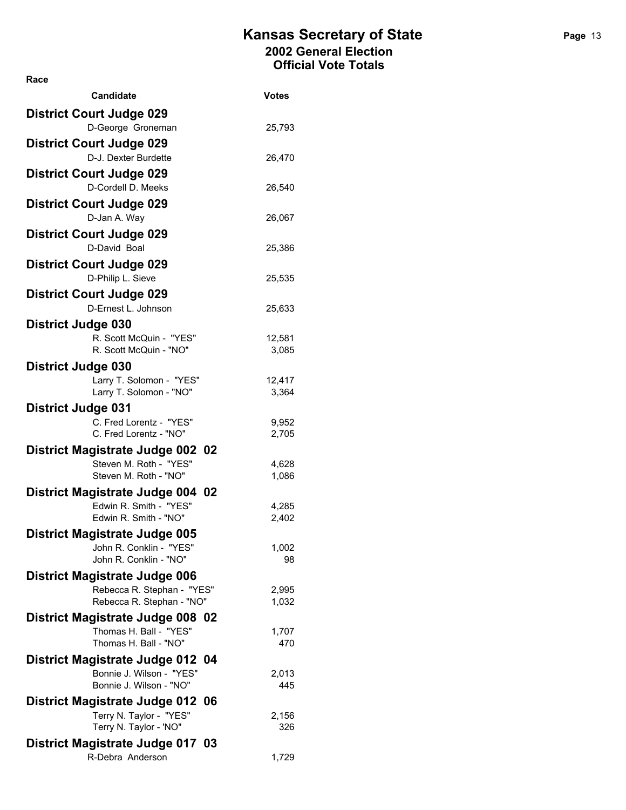| <b>Candidate</b>                                                | <b>Votes</b>    |
|-----------------------------------------------------------------|-----------------|
| <b>District Court Judge 029</b>                                 |                 |
| D-George Groneman                                               | 25,793          |
| <b>District Court Judge 029</b>                                 |                 |
| D-J. Dexter Burdette                                            | 26,470          |
| <b>District Court Judge 029</b><br>D-Cordell D. Meeks           | 26,540          |
| <b>District Court Judge 029</b>                                 |                 |
| D-Jan A. Way                                                    | 26,067          |
| <b>District Court Judge 029</b>                                 |                 |
| D-David Boal                                                    | 25,386          |
| <b>District Court Judge 029</b>                                 |                 |
| D-Philip L. Sieve                                               | 25,535          |
| <b>District Court Judge 029</b>                                 |                 |
| D-Ernest L. Johnson                                             | 25,633          |
| <b>District Judge 030</b>                                       |                 |
| R. Scott McQuin - "YES"<br>R. Scott McQuin - "NO"               | 12,581<br>3,085 |
| <b>District Judge 030</b>                                       |                 |
| Larry T. Solomon - "YES"                                        | 12,417          |
| Larry T. Solomon - "NO"                                         | 3,364           |
| <b>District Judge 031</b>                                       |                 |
| C. Fred Lorentz - "YES"<br>C. Fred Lorentz - "NO"               | 9,952<br>2,705  |
|                                                                 |                 |
| District Magistrate Judge 002 02<br>Steven M. Roth - "YES"      | 4,628           |
| Steven M. Roth - "NO"                                           | 1,086           |
| <b>District Magistrate Judge 004 02</b>                         |                 |
| Edwin R. Smith - "YES"                                          | 4,285           |
| Edwin R. Smith - "NO"                                           | 2,402           |
| <b>District Magistrate Judge 005</b><br>John R. Conklin - "YES" | 1,002           |
| John R. Conklin - "NO"                                          | 98              |
| District Magistrate Judge 006                                   |                 |
| Rebecca R. Stephan - "YES"                                      | 2,995           |
| Rebecca R. Stephan - "NO"                                       | 1,032           |
| District Magistrate Judge 008 02<br>Thomas H. Ball - "YES"      |                 |
| Thomas H. Ball - "NO"                                           | 1,707<br>470    |
| District Magistrate Judge 012 04                                |                 |
| Bonnie J. Wilson - "YES"                                        | 2,013           |
| Bonnie J. Wilson - "NO"                                         | 445             |
| District Magistrate Judge 012 06                                |                 |
| Terry N. Taylor - "YES"<br>Terry N. Taylor - 'NO"               | 2,156<br>326    |
| District Magistrate Judge 017 03                                |                 |
| R-Debra Anderson                                                | 1,729           |